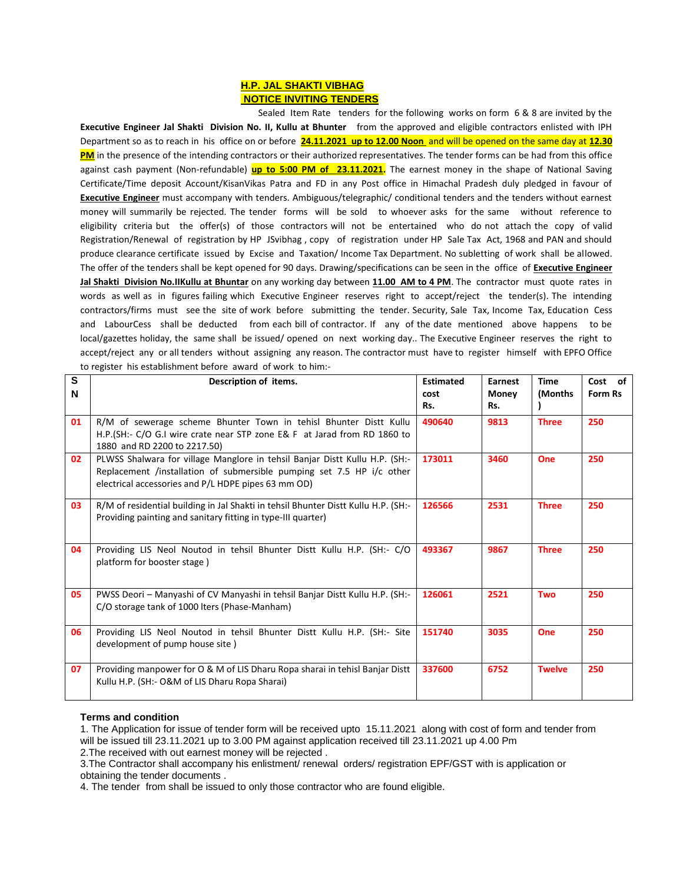## **H.P. JAL SHAKTI VIBHAG NOTICE INVITING TENDERS**

 Sealed Item Rate tenders for the following works on form 6 & 8 are invited by the **Executive Engineer Jal Shakti Division No. II, Kullu at Bhunter** from the approved and eligible contractors enlisted with IPH Department so as to reach in his office on or before **24.11.2021 up to 12.00 Noon** and will be opened on the same day at **12.30 PM** in the presence of the intending contractors or their authorized representatives. The tender forms can be had from this office against cash payment (Non-refundable) **up to 5:00 PM of 23.11.2021.** The earnest money in the shape of National Saving Certificate/Time deposit Account/KisanVikas Patra and FD in any Post office in Himachal Pradesh duly pledged in favour of **Executive Engineer** must accompany with tenders. Ambiguous/telegraphic/ conditional tenders and the tenders without earnest money will summarily be rejected. The tender forms will be sold to whoever asks for the same without reference to eligibility criteria but the offer(s) of those contractors will not be entertained who do not attach the copy of valid Registration/Renewal of registration by HP JSvibhag , copy of registration under HP Sale Tax Act, 1968 and PAN and should produce clearance certificate issued by Excise and Taxation/ Income Tax Department. No subletting of work shall be allowed. The offer of the tenders shall be kept opened for 90 days. Drawing/specifications can be seen in the office of **Executive Engineer Jal Shakti Division No.IIKullu at Bhuntar** on any working day between **11.00 AM to 4 PM**. The contractor must quote rates in words as well as in figures failing which Executive Engineer reserves right to accept/reject the tender(s). The intending contractors/firms must see the site of work before submitting the tender. Security, Sale Tax, Income Tax, Education Cess and LabourCess shall be deducted from each bill of contractor. If any of the date mentioned above happens to be local/gazettes holiday, the same shall be issued/ opened on next working day.. The Executive Engineer reserves the right to accept/reject any or all tenders without assigning any reason. The contractor must have to register himself with EPFO Office to register his establishment before award of work to him:-

| S<br>N | Description of items.                                                                                                                                                                                       | <b>Estimated</b><br>cost<br>Rs. | Earnest<br><b>Money</b><br>Rs. | <b>Time</b><br>(Months | Cost of<br>Form Rs |
|--------|-------------------------------------------------------------------------------------------------------------------------------------------------------------------------------------------------------------|---------------------------------|--------------------------------|------------------------|--------------------|
| 01     | R/M of sewerage scheme Bhunter Town in tehisl Bhunter Distt Kullu<br>H.P. (SH:- C/O G.I wire crate near STP zone E& F at Jarad from RD 1860 to<br>1880 and RD 2200 to 2217.50)                              | 490640                          | 9813                           | <b>Three</b>           | 250                |
| 02     | PLWSS Shalwara for village Manglore in tehsil Banjar Distt Kullu H.P. (SH:-<br>Replacement /installation of submersible pumping set 7.5 HP i/c other<br>electrical accessories and P/L HDPE pipes 63 mm OD) | 173011                          | 3460                           | One                    | 250                |
| 03     | R/M of residential building in Jal Shakti in tehsil Bhunter Distt Kullu H.P. (SH:-<br>Providing painting and sanitary fitting in type-III quarter)                                                          | 126566                          | 2531                           | <b>Three</b>           | 250                |
| 04     | Providing LIS Neol Noutod in tehsil Bhunter Distt Kullu H.P. (SH:- C/O<br>platform for booster stage)                                                                                                       | 493367                          | 9867                           | <b>Three</b>           | 250                |
| 05     | PWSS Deori - Manyashi of CV Manyashi in tehsil Banjar Distt Kullu H.P. (SH:-<br>C/O storage tank of 1000 Iters (Phase-Manham)                                                                               | 126061                          | 2521                           | <b>Two</b>             | 250                |
| 06     | Providing LIS Neol Noutod in tehsil Bhunter Distt Kullu H.P. (SH:- Site<br>development of pump house site)                                                                                                  | 151740                          | 3035                           | One                    | 250                |
| 07     | Providing manpower for O & M of LIS Dharu Ropa sharai in tehisl Banjar Distt<br>Kullu H.P. (SH:- O&M of LIS Dharu Ropa Sharai)                                                                              | 337600                          | 6752                           | <b>Twelve</b>          | 250                |

## **Terms and condition**

1. The Application for issue of tender form will be received upto 15.11.2021 along with cost of form and tender from will be issued till 23.11.2021 up to 3.00 PM against application received till 23.11.2021 up 4.00 Pm 2.The received with out earnest money will be rejected .

3.The Contractor shall accompany his enlistment/ renewal orders/ registration EPF/GST with is application or obtaining the tender documents .

4. The tender from shall be issued to only those contractor who are found eligible.